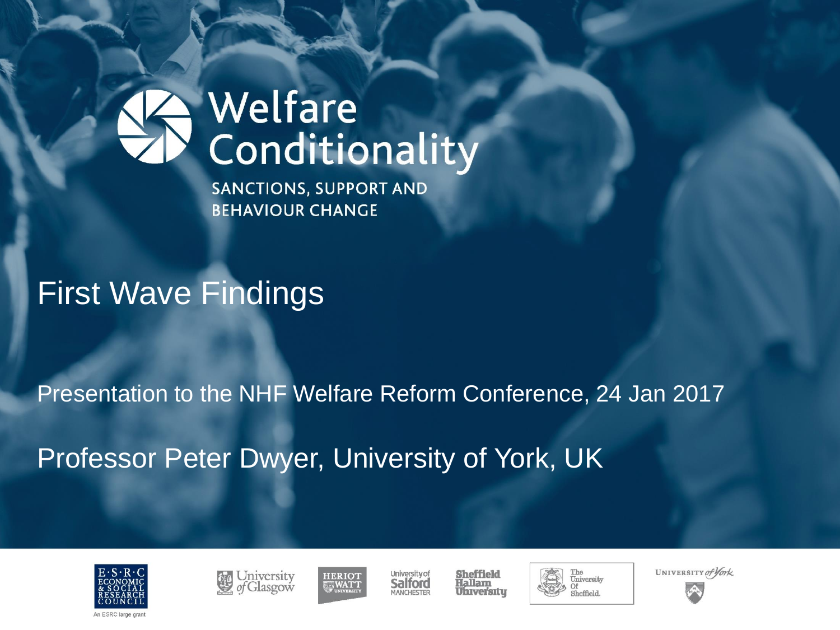**SANCTIONS, SUPPORT AND BEHAVIOUR CHANGE** 

## First Wave Findings

#### Presentation to the NHF Welfare Reform Conference, 24 Jan 2017

Professor Peter Dwyer, University of York, UK







**University of** Salford MANCHESTED

**Sheffield** Hallam **Universitu** 



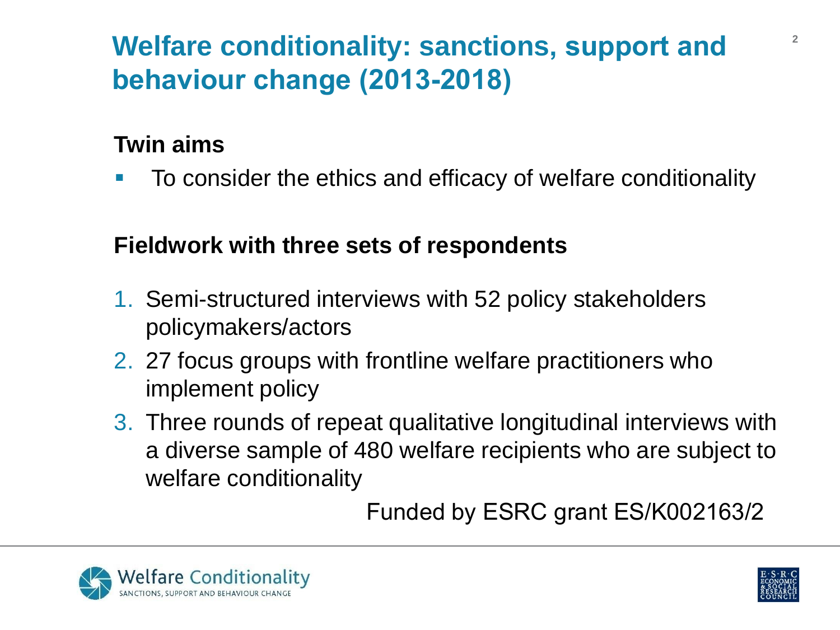## **Welfare conditionality: sanctions, support and behaviour change (2013-2018)**

### **Twin aims**

**To consider the ethics and efficacy of welfare conditionality** 

### **Fieldwork with three sets of respondents**

- 1. Semi-structured interviews with 52 policy stakeholders policymakers/actors
- 2. 27 focus groups with frontline welfare practitioners who implement policy
- 3. Three rounds of repeat qualitative longitudinal interviews with a diverse sample of 480 welfare recipients who are subject to welfare conditionality

Funded by ESRC grant ES/K002163/2



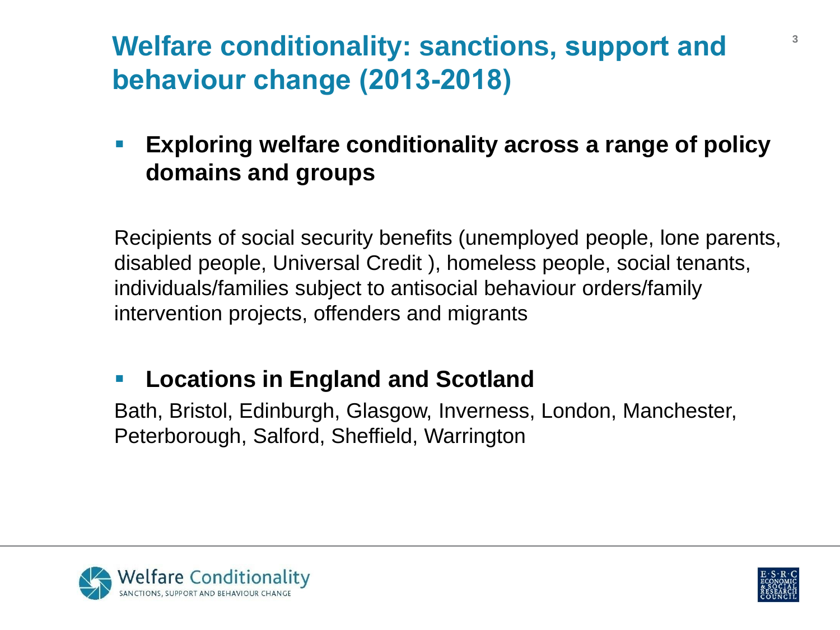## **Welfare conditionality: sanctions, support and behaviour change (2013-2018)**

 **Exploring welfare conditionality across a range of policy domains and groups**

Recipients of social security benefits (unemployed people, lone parents, disabled people, Universal Credit ), homeless people, social tenants, individuals/families subject to antisocial behaviour orders/family intervention projects, offenders and migrants

### **Locations in England and Scotland**

Bath, Bristol, Edinburgh, Glasgow, Inverness, London, Manchester, Peterborough, Salford, Sheffield, Warrington



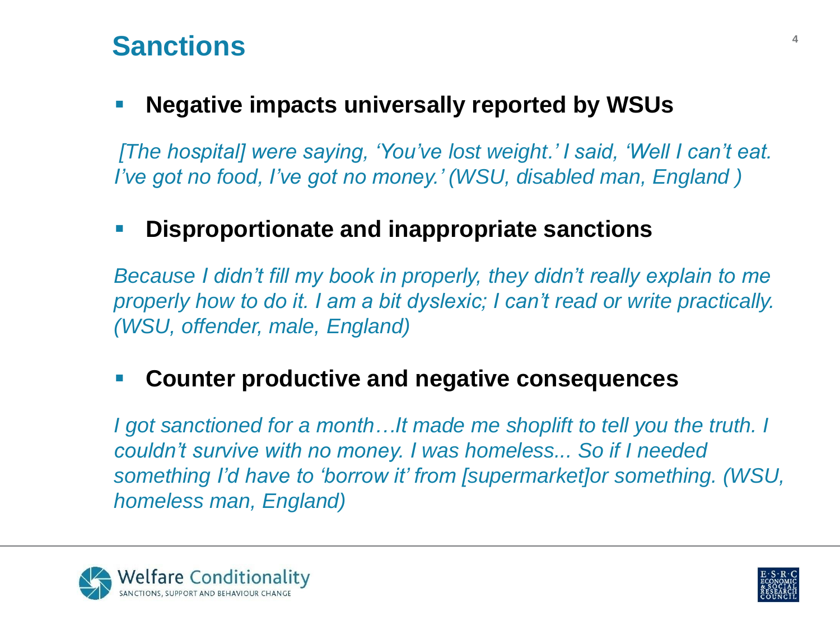### **Sanctions <sup>4</sup>**

#### **Negative impacts universally reported by WSUs**

*[The hospital] were saying, 'You've lost weight.' I said, 'Well I can't eat. I've got no food, I've got no money.' (WSU, disabled man, England )*

#### **Disproportionate and inappropriate sanctions**

*Because I didn't fill my book in properly, they didn't really explain to me properly how to do it. I am a bit dyslexic; I can't read or write practically. (WSU, offender, male, England)*

#### **Counter productive and negative consequences**

*I* got sanctioned for a month...It made me shoplift to tell you the truth. I *couldn't survive with no money. I was homeless... So if I needed something I'd have to 'borrow it' from [supermarket]or something. (WSU, homeless man, England)*



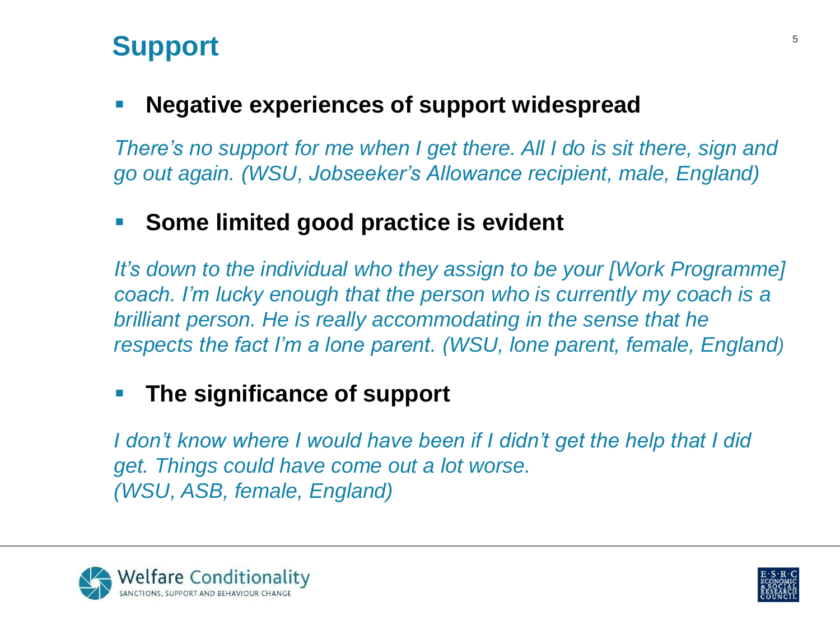### **Support 5**

### **Negative experiences of support widespread**

*There's no support for me when I get there. All I do is sit there, sign and go out again. (WSU, Jobseeker's Allowance recipient, male, England)*

### **Some limited good practice is evident**

*It's down to the individual who they assign to be your [Work Programme] coach. I'm lucky enough that the person who is currently my coach is a brilliant person. He is really accommodating in the sense that he respects the fact I'm a lone parent. (WSU, lone parent, female, England)*

### **The significance of support**

*I don't know where I would have been if I didn't get the help that I did get. Things could have come out a lot worse. (WSU, ASB, female, England)*



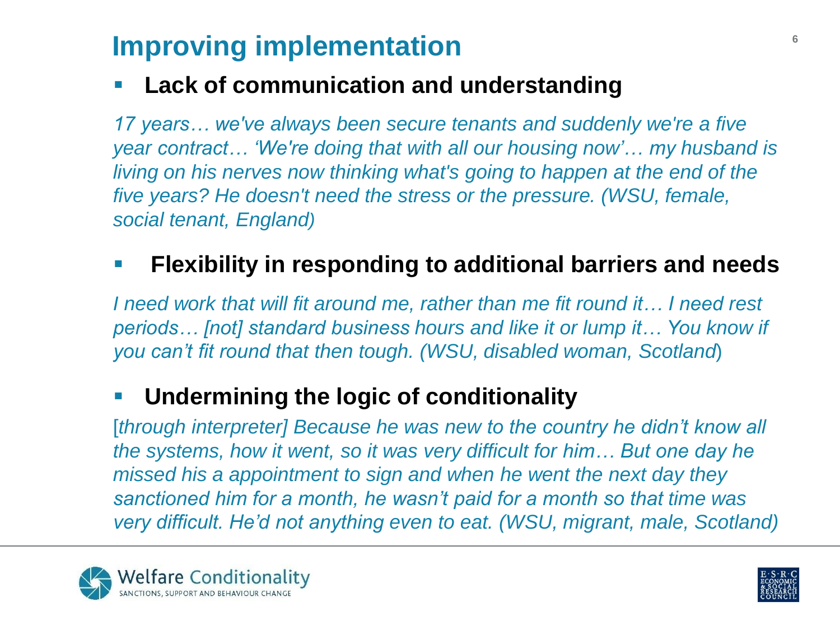## **Improving implementation**

### **Lack of communication and understanding**

*17 years… we've always been secure tenants and suddenly we're a five year contract… 'We're doing that with all our housing now'… my husband is living on his nerves now thinking what's going to happen at the end of the five years? He doesn't need the stress or the pressure. (WSU, female, social tenant, England)*

### **Flexibility in responding to additional barriers and needs**

*I* need work that will fit around me, rather than me fit round it... I need rest *periods… [not] standard business hours and like it or lump it… You know if you can't fit round that then tough. (WSU, disabled woman, Scotland*)

### **Undermining the logic of conditionality**

[*through interpreter] Because he was new to the country he didn't know all the systems, how it went, so it was very difficult for him… But one day he missed his a appointment to sign and when he went the next day they sanctioned him for a month, he wasn't paid for a month so that time was very difficult. He'd not anything even to eat. (WSU, migrant, male, Scotland)*



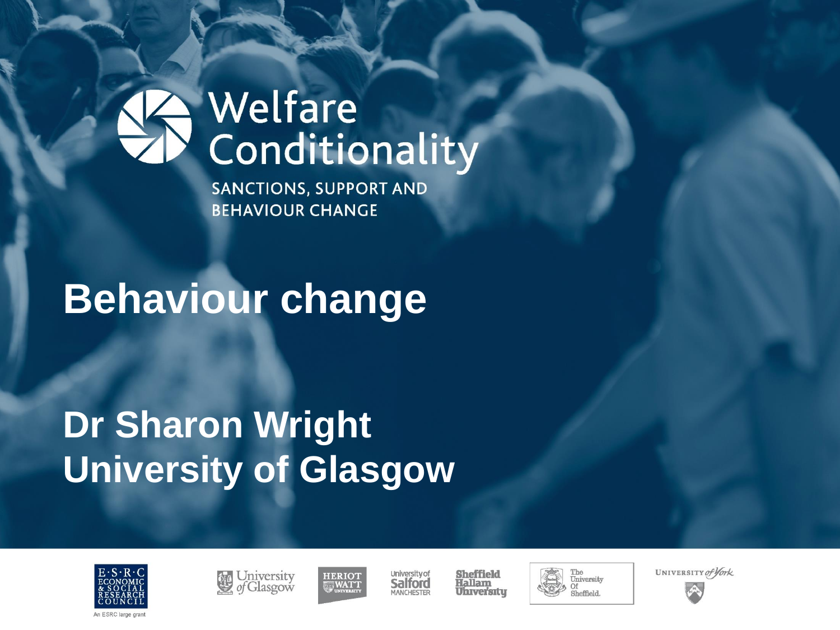**SANCTIONS, SUPPORT AND BEHAVIOUR CHANGE** 

# **Behaviour change**

## **Dr Sharon Wright University of Glasgow**







University of Salford MANCHESTER

**Sheffield** Hallam **Universitu** 





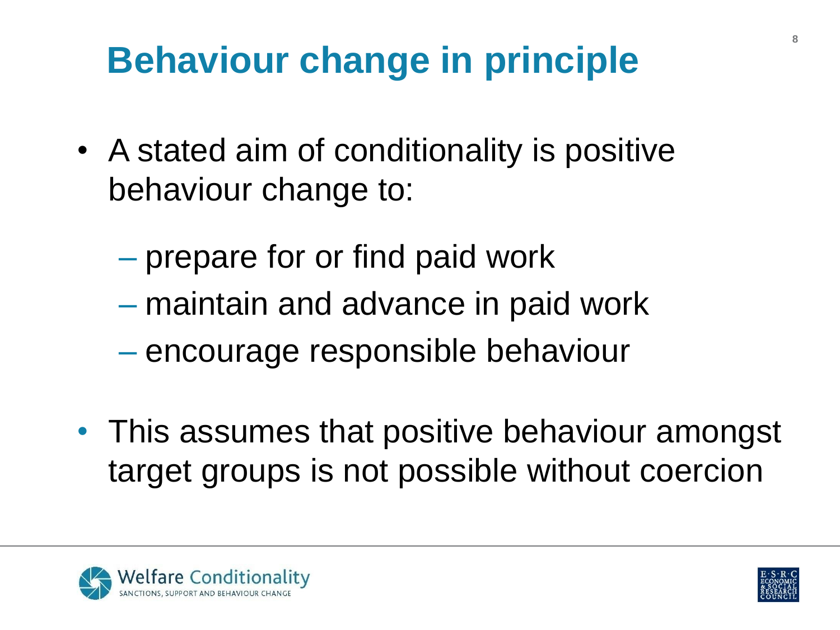# **Behaviour change in principle**

- A stated aim of conditionality is positive behaviour change to:
	- prepare for or find paid work
	- maintain and advance in paid work
	- encourage responsible behaviour
- This assumes that positive behaviour amongst target groups is not possible without coercion



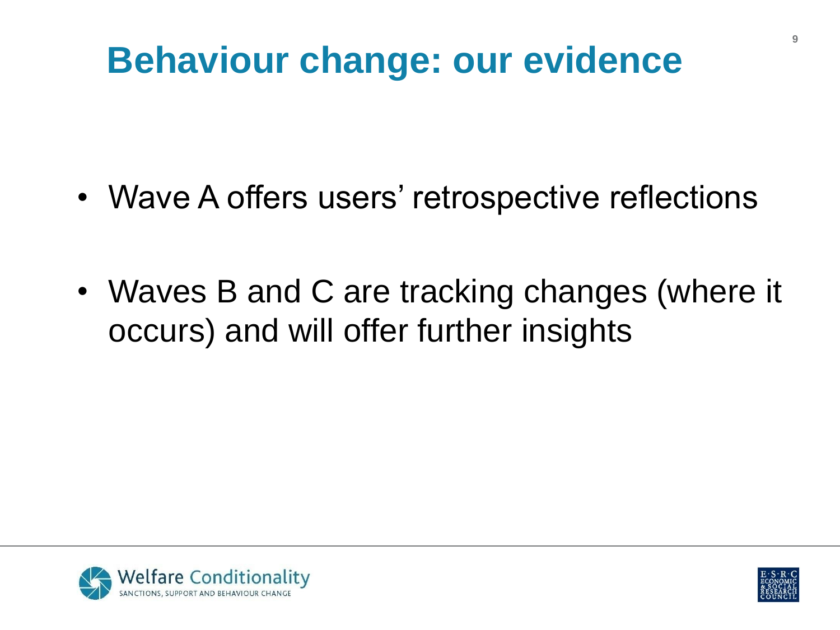## **Behaviour change: our evidence**

- Wave A offers users' retrospective reflections
- Waves B and C are tracking changes (where it occurs) and will offer further insights



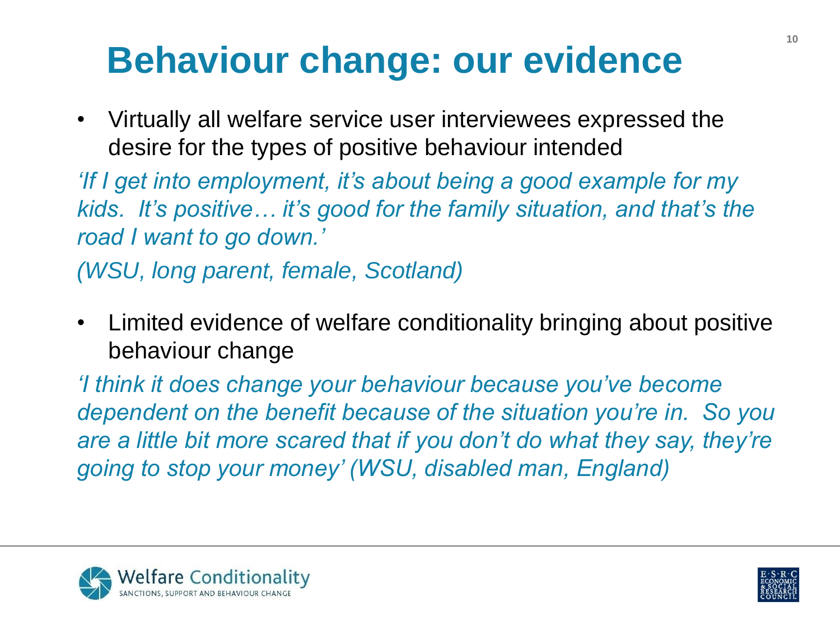# **Behaviour change: our evidence**

• Virtually all welfare service user interviewees expressed the desire for the types of positive behaviour intended

*'If I get into employment, it's about being a good example for my kids. It's positive… it's good for the family situation, and that's the road I want to go down.'* 

*(WSU, long parent, female, Scotland)*

• Limited evidence of welfare conditionality bringing about positive behaviour change

*'I think it does change your behaviour because you've become dependent on the benefit because of the situation you're in. So you are a little bit more scared that if you don't do what they say, they're going to stop your money' (WSU, disabled man, England)*



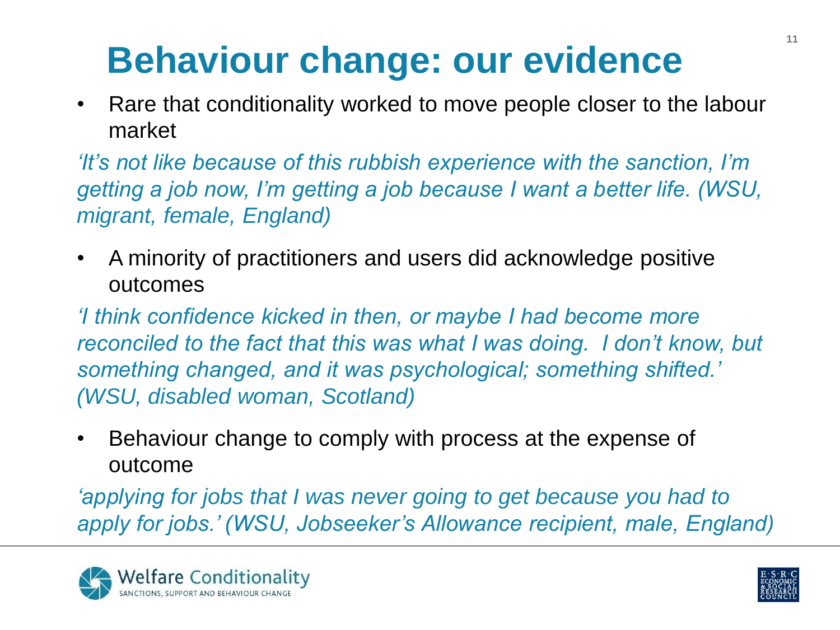# **Behaviour change: our evidence**

• Rare that conditionality worked to move people closer to the labour market

*'It's not like because of this rubbish experience with the sanction, I'm getting a job now, I'm getting a job because I want a better life. (WSU, migrant, female, England)* 

• A minority of practitioners and users did acknowledge positive outcomes

*'I think confidence kicked in then, or maybe I had become more reconciled to the fact that this was what I was doing. I don't know, but something changed, and it was psychological; something shifted.' (WSU, disabled woman, Scotland)*

• Behaviour change to comply with process at the expense of outcome

*'applying for jobs that I was never going to get because you had to apply for jobs.' (WSU, Jobseeker's Allowance recipient, male, England)*



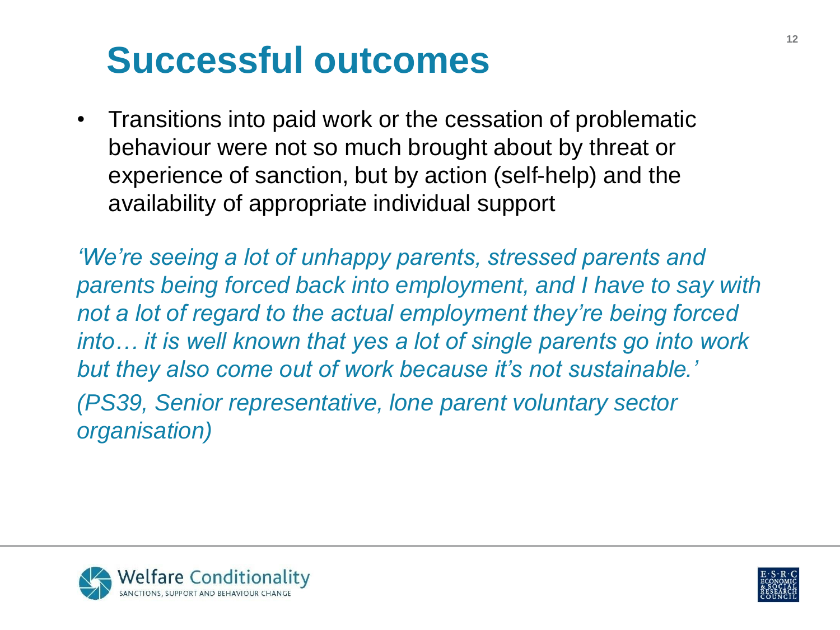# **Successful outcomes**

• Transitions into paid work or the cessation of problematic behaviour were not so much brought about by threat or experience of sanction, but by action (self-help) and the availability of appropriate individual support

*'We're seeing a lot of unhappy parents, stressed parents and parents being forced back into employment, and I have to say with not a lot of regard to the actual employment they're being forced into… it is well known that yes a lot of single parents go into work but they also come out of work because it's not sustainable.' (PS39, Senior representative, lone parent voluntary sector organisation)*



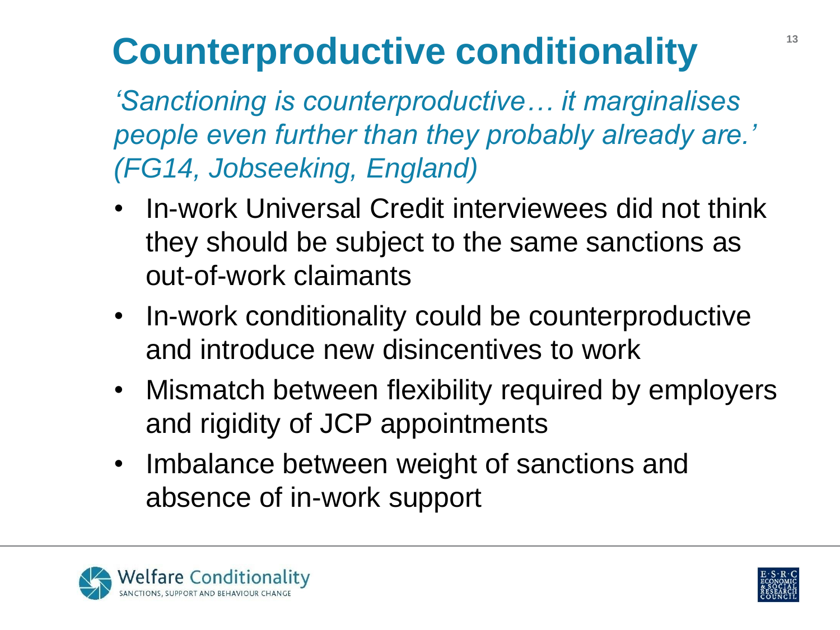# **Counterproductive conditionality <sup>13</sup>**

*'Sanctioning is counterproductive… it marginalises people even further than they probably already are.' (FG14, Jobseeking, England)*

- In-work Universal Credit interviewees did not think they should be subject to the same sanctions as out-of-work claimants
- In-work conditionality could be counterproductive and introduce new disincentives to work
- Mismatch between flexibility required by employers and rigidity of JCP appointments
- Imbalance between weight of sanctions and absence of in-work support



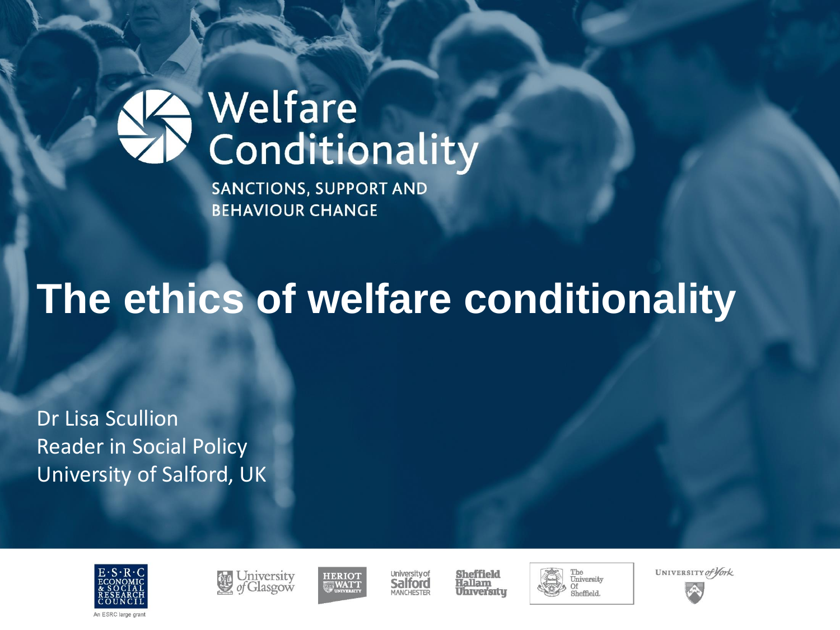**SANCTIONS, SUPPORT AND BEHAVIOUR CHANGE** 

# **The ethics of welfare conditionality**

Dr Lisa Scullion Reader in Social Policy University of Salford, UK







University of Salford MANCHESTER

**Sheffield** Hallam **Universitu** 





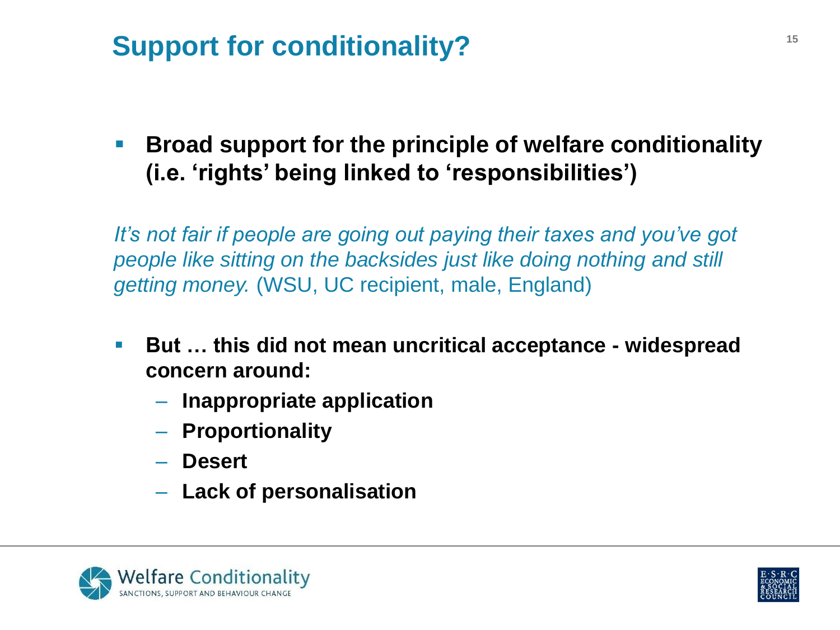## **Support for conditionality? 15**

**Broad support for the principle of welfare conditionality (i.e. 'rights' being linked to 'responsibilities')**

*It's not fair if people are going out paying their taxes and you've got people like sitting on the backsides just like doing nothing and still getting money.* (WSU, UC recipient, male, England)

- **But … this did not mean uncritical acceptance - widespread concern around:** 
	- **Inappropriate application**
	- **Proportionality**
	- **Desert**
	- **Lack of personalisation**



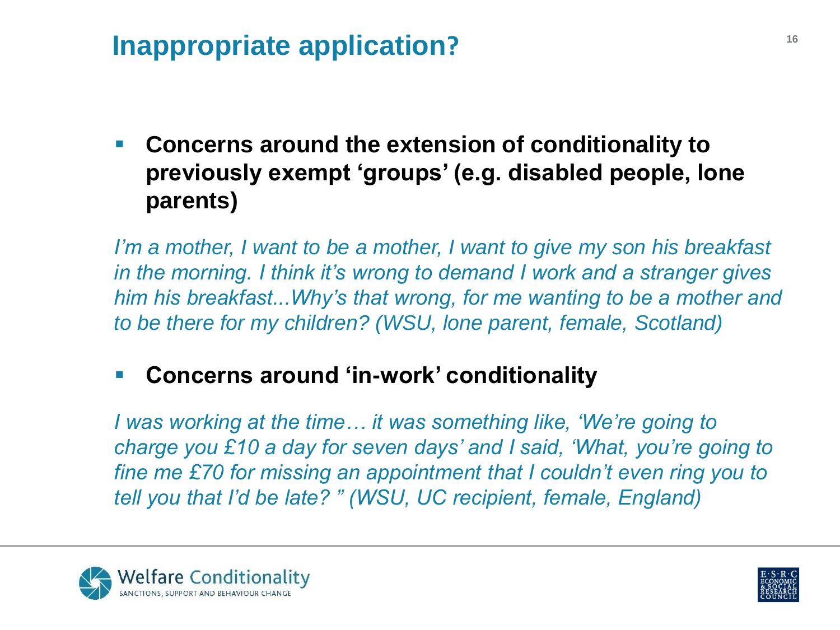## **Inappropriate application?**

 **Concerns around the extension of conditionality to previously exempt 'groups' (e.g. disabled people, lone parents)** 

*I'm a mother, I want to be a mother, I want to give my son his breakfast in the morning. I think it's wrong to demand I work and a stranger gives him his breakfast...Why's that wrong, for me wanting to be a mother and to be there for my children? (WSU, lone parent, female, Scotland)*

#### **Concerns around 'in-work' conditionality**

*I was working at the time… it was something like, 'We're going to charge you £10 a day for seven days' and I said, 'What, you're going to fine me £70 for missing an appointment that I couldn't even ring you to tell you that I'd be late? " (WSU, UC recipient, female, England)* 



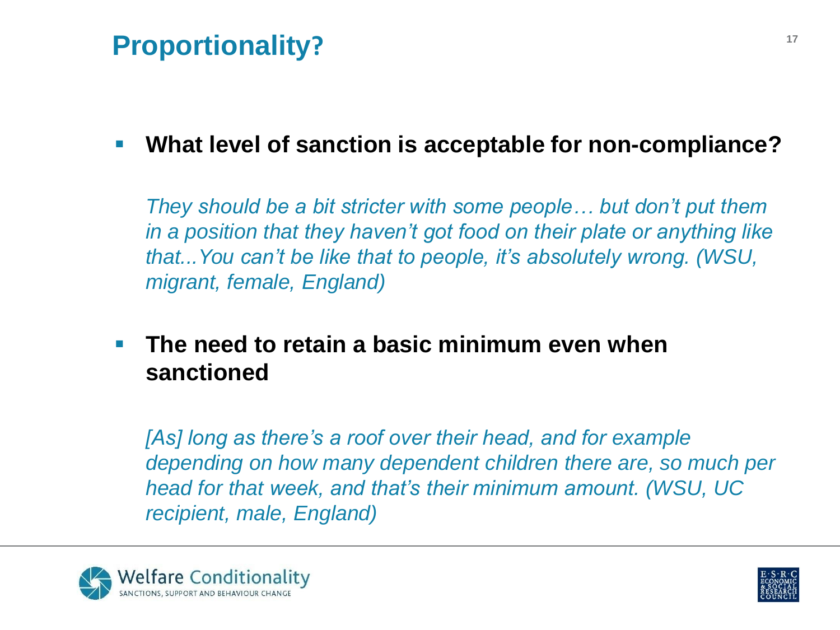### **Proportionality?**

### **What level of sanction is acceptable for non-compliance?**

*They should be a bit stricter with some people… but don't put them in a position that they haven't got food on their plate or anything like that...You can't be like that to people, it's absolutely wrong. (WSU, migrant, female, England)*

 **The need to retain a basic minimum even when sanctioned**

*[As] long as there's a roof over their head, and for example depending on how many dependent children there are, so much per head for that week, and that's their minimum amount. (WSU, UC recipient, male, England)*



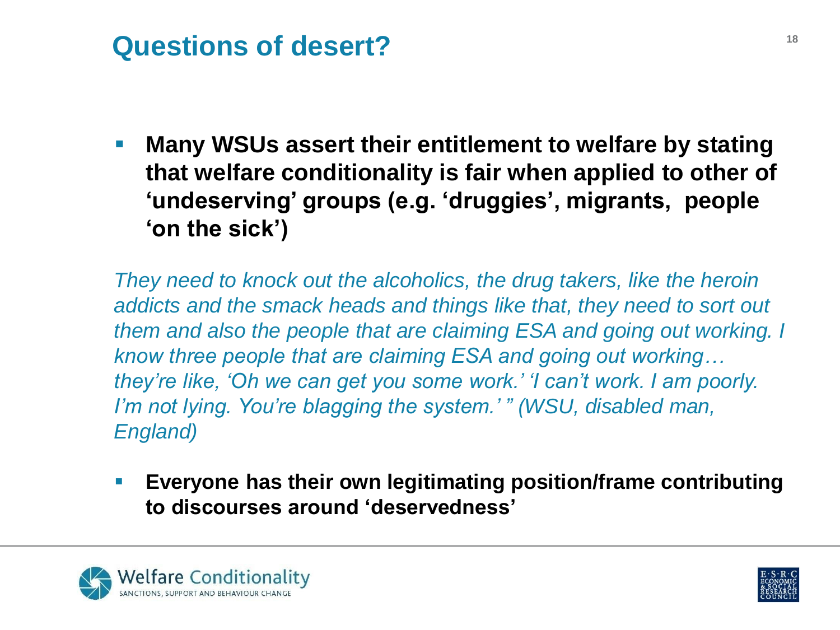### **Questions of desert? <sup>18</sup>**

 **Many WSUs assert their entitlement to welfare by stating that welfare conditionality is fair when applied to other of 'undeserving' groups (e.g. 'druggies', migrants, people 'on the sick')** 

*They need to knock out the alcoholics, the drug takers, like the heroin addicts and the smack heads and things like that, they need to sort out them and also the people that are claiming ESA and going out working. I know three people that are claiming ESA and going out working… they're like, 'Oh we can get you some work.' 'I can't work. I am poorly. I'm not lying. You're blagging the system.' " (WSU, disabled man, England)*

 **Everyone has their own legitimating position/frame contributing to discourses around 'deservedness'** 



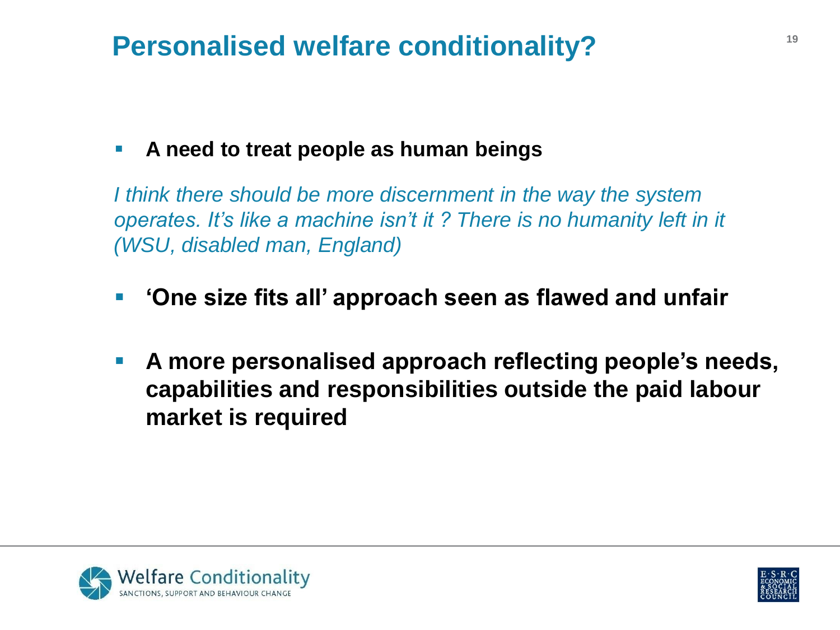### **Personalised welfare conditionality? 19**

#### **A need to treat people as human beings**

*I think there should be more discernment in the way the system operates. It's like a machine isn't it ? There is no humanity left in it (WSU, disabled man, England)*

- **'One size fits all' approach seen as flawed and unfair**
- **A more personalised approach reflecting people's needs, capabilities and responsibilities outside the paid labour market is required**